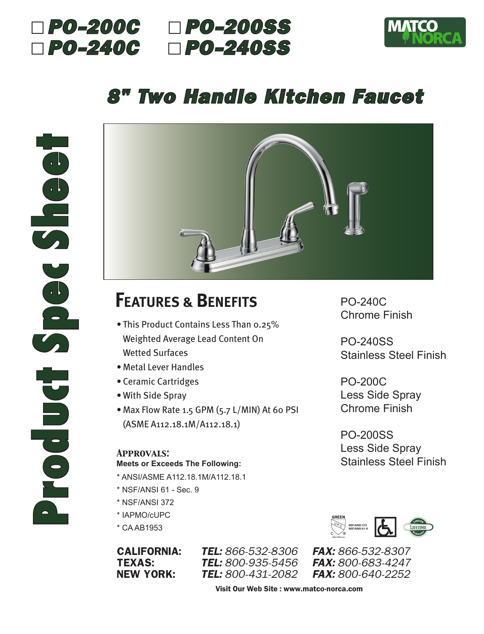



# *8" Two Handle Kitchen Faucet*



# **FEATURES & BENEFITS**

- This Product Contains Less Than 0.25% Weighted Average Lead Content On Wetted Surfaces
- Metal Lever Handles
- Ceramic Cartridges
- With Side Spray
- Max Flow Rate 1.5 GPM (5.7 L/MIN) At 60 PSI (ASME A112.18.1M/A112.18.1)

### *Approvals:* **Meets or Exceeds The Following:**

- \* ANSI/ASME A112.18.1M/A112.18.1
- \* NSF/ANSI 61 Sec. 9
- \* NSF/ANSI 372
- \* IAPMO/cUPC
- \* CA AB1953

CALIFORNIA: *TEL: 866-532-8306 FAX: 866-532-8307* **TEXAS:** *TEL:* 800-935-5456 NEW YORK: *TEL: 800-431-2082 FAX: 800-640-2252*

PO-240C Chrome Finish

PO-240SS Stainless Steel Finish

PO-200C Less Side Spray Chrome Finish

PO-200SS Less Side Spray Stainless Steel Finish



Visit Our Web Site : www.matco-norca.com